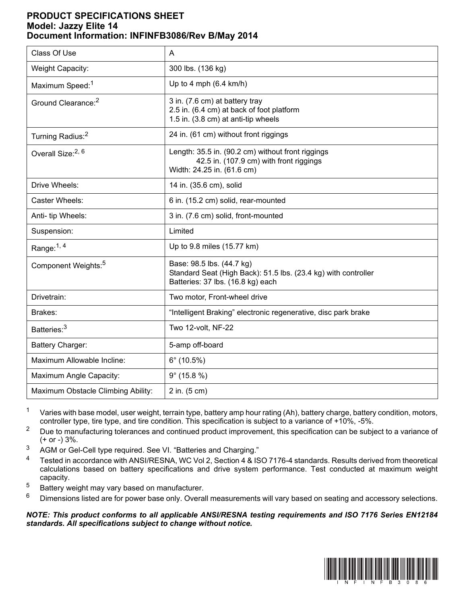## **PRODUCT SPECIFICATIONS SHEET Model: Jazzy Elite 14 Document Information: INFINFB3086/Rev B/May 2014**

| Class Of Use                       | A                                                                                                                                |
|------------------------------------|----------------------------------------------------------------------------------------------------------------------------------|
| Weight Capacity:                   | 300 lbs. (136 kg)                                                                                                                |
| Maximum Speed: <sup>1</sup>        | Up to 4 mph $(6.4 \text{ km/h})$                                                                                                 |
| Ground Clearance: <sup>2</sup>     | 3 in. (7.6 cm) at battery tray<br>2.5 in. (6.4 cm) at back of foot platform<br>1.5 in. (3.8 cm) at anti-tip wheels               |
| Turning Radius: <sup>2</sup>       | 24 in. (61 cm) without front riggings                                                                                            |
| Overall Size: <sup>2, 6</sup>      | Length: 35.5 in. (90.2 cm) without front riggings<br>42.5 in. (107.9 cm) with front riggings<br>Width: 24.25 in. (61.6 cm)       |
| Drive Wheels:                      | 14 in. (35.6 cm), solid                                                                                                          |
| Caster Wheels:                     | 6 in. (15.2 cm) solid, rear-mounted                                                                                              |
| Anti- tip Wheels:                  | 3 in. (7.6 cm) solid, front-mounted                                                                                              |
| Suspension:                        | Limited                                                                                                                          |
| Range: $1, 4$                      | Up to 9.8 miles (15.77 km)                                                                                                       |
| Component Weights: <sup>5</sup>    | Base: 98.5 lbs. (44.7 kg)<br>Standard Seat (High Back): 51.5 lbs. (23.4 kg) with controller<br>Batteries: 37 lbs. (16.8 kg) each |
| Drivetrain:                        | Two motor, Front-wheel drive                                                                                                     |
| Brakes:                            | "Intelligent Braking" electronic regenerative, disc park brake                                                                   |
| Batteries: <sup>3</sup>            | Two 12-volt, NF-22                                                                                                               |
| Battery Charger:                   | 5-amp off-board                                                                                                                  |
| Maximum Allowable Incline:         | $6^{\circ}$ (10.5%)                                                                                                              |
| Maximum Angle Capacity:            | $9^{\circ}$ (15.8 %)                                                                                                             |
| Maximum Obstacle Climbing Ability: | 2 in. (5 cm)                                                                                                                     |

<sup>1</sup> Varies with base model, user weight, terrain type, battery amp hour rating (Ah), battery charge, battery condition, motors, controller type, tire type, and tire condition. This specification is subject to a variance of +10%, -5%.

- <sup>2</sup> Due to manufacturing tolerances and continued product improvement, this specification can be subject to a variance of (+ or -) 3%.
- <sup>3</sup> AGM or Gel-Cell type required. See VI. "Batteries and Charging."
- <sup>4</sup> Tested in accordance with ANSI/RESNA, WC Vol 2, Section 4 & ISO 7176-4 standards. Results derived from theoretical calculations based on battery specifications and drive system performance. Test conducted at maximum weight capacity.
- 5 Battery weight may vary based on manufacturer.
- $6$  Dimensions listed are for power base only. Overall measurements will vary based on seating and accessory selections.

*NOTE: This product conforms to all applicable ANSI/RESNA testing requirements and ISO 7176 Series EN12184 standards. All specifications subject to change without notice.*